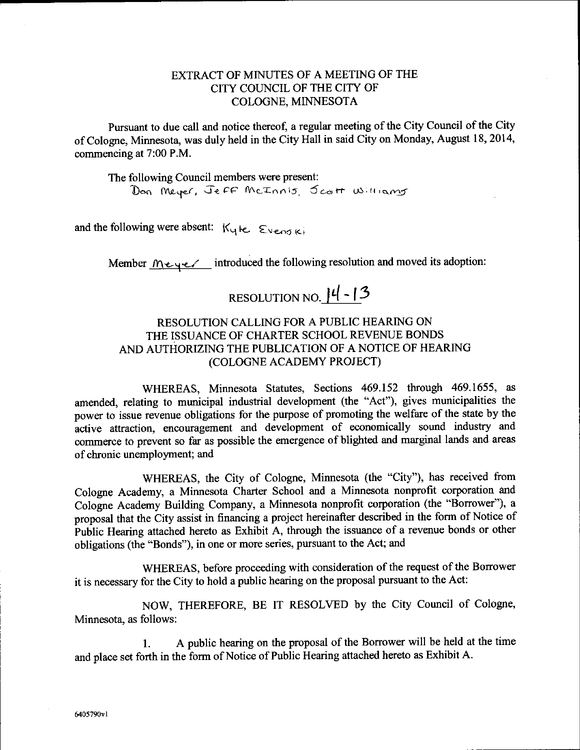### EXTRACT OF MINUTES OF A MEETING OF THE CITY COUNCIL OF THE CITY OF COLOGNE, MINNESOTA

Pursuant to due call and notice thereof, a regular meeting of the City Council of the City of Cologne, Minnesota, was duly held in the City Hall in said City on Monday, August 18, 2014, commencing at 7:00 P.M.

The following Council members were present: Don Meyer, Jeff McInnis, Jest Williams

and the following were absent:  $K_y$   $\kappa$ ,  $\epsilon$   $\epsilon$ ,  $\epsilon$ ,  $\epsilon$ 

Member  $M \in \{1, 2, \ldots\}$  introduced the following resolution and moved its adoption:

# RESOLUTION NO.  $|4-13$

# RESOLUTION CALLING FOR A PUBLIC HEARING ON THE ISSUANCE OF CHARTER SCHOOL REVENUE BONDS AND AUTHORIZING THE PUBLICATION OF A NOTICE OF HEARING COLOGNE ACADEMY PROJECT)

WHEREAS, Minnesota Statutes, Sections 469.152 through 469.1655, as amended, relating to municipal industrial development (the "Act"), gives municipalities the power to issue revenue obligations for the purpose of promoting the welfare of the state by the active attraction, encouragement and development of economically sound industry and commerce to prevent so far as possible the emergence of blighted and marginal lands and areas of chronic unemployment; and

WHEREAS, the City of Cologne, Minnesota (the "City"), has received from Cologne Academy, a Minnesota Charter School and a Minnesota nonprofit corporation and Cologne Academy Building Company, a Minnesota nonprofit corporation (the "Borrower"), a proposal that the City assist in financing <sup>a</sup> project hereinafter described in the form of Notice of Public Hearing attached hereto as Exhibit A, through the issuance of <sup>a</sup> revenue bonds or other obligations (the" Bonds"), in one or more series, pursuant to the Act; and

WHEREAS, before proceeding with consideration of the request of the Borrower it is necessary for the City to hold a public hearing on the proposal pursuant to the Act:

NOW, THEREFORE, BE IT RESOLVED by the City Council of Cologne, Minnesota, as follows:

I. A public hearing on the proposal of the Borrower will be held at the time and Place set forth in the form of Notice of Public Hearing attached hereto as Exhibit A.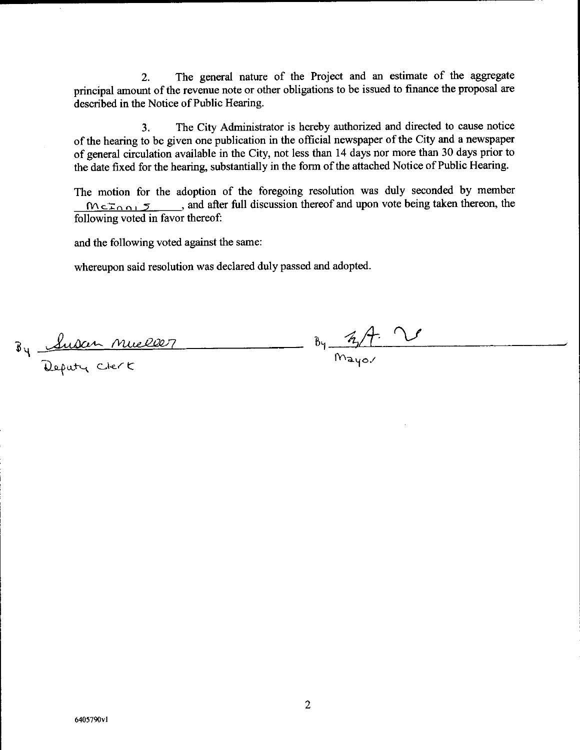2. The general nature of the Project and an estimate of the aggregate principal amount of the revenue note or other obligations to be issued to finance the proposal are described in the Notice of Public Hearing.

3. The City Administrator is hereby authorized and directed to cause notice of the hearing to be given one publication in the official newspaper of the City and <sup>a</sup> newspaper of general circulation available in the City, not less than 14 days nor more than 30 days prior to the date fixed for the hearing, substantially in the form of the attached Notice of Public Hearing.

The motion for the adoption of the foregoing resolution was duly seconded by member  $M \subset \mathbb{Z} \cap \mathbb{Z}$ , and after full discussion thereof and upon vote being taken thereon, the following voted in favor thereof:

and the following voted against the same:

whereupon said resolution was declared duly passed and adopted.

 $\frac{8y-4t}{m_{\text{avg}}}$ By Suban Mueller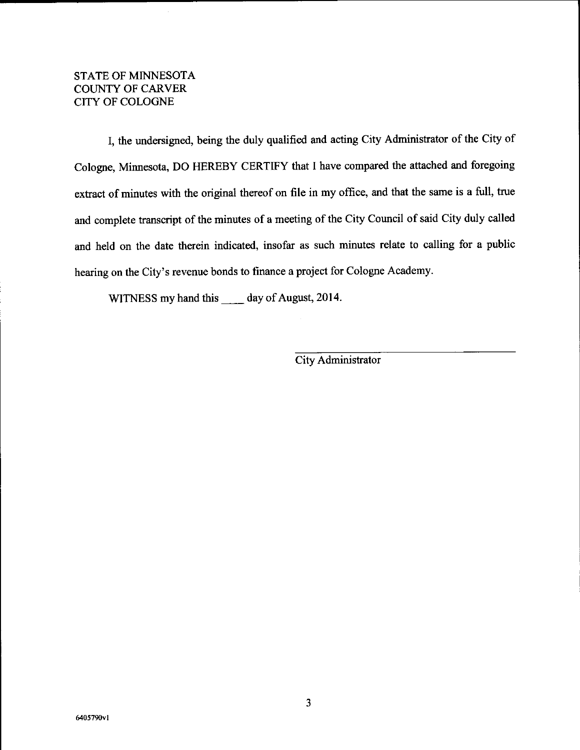## STATE OF MINNESOTA COUNTY OF CARVER CITY OF COLOGNE

I, the undersigned, being the duly qualified and acting City Administrator of the City of Cologne, Minnesota, DO HEREBY CERTIFY that I have compared the attached and foregoing extract of minutes with the original thereof on file in my office, and that the same is a full, true and complete transcript of the minutes of <sup>a</sup> meeting of the City Council of said City duly called and held on the date therein indicated, insofar as such minutes relate to calling for a public hearing on the City's revenue bonds to finance a project for Cologne Academy.

WITNESS my hand this day of August, 2014.

City Administrator